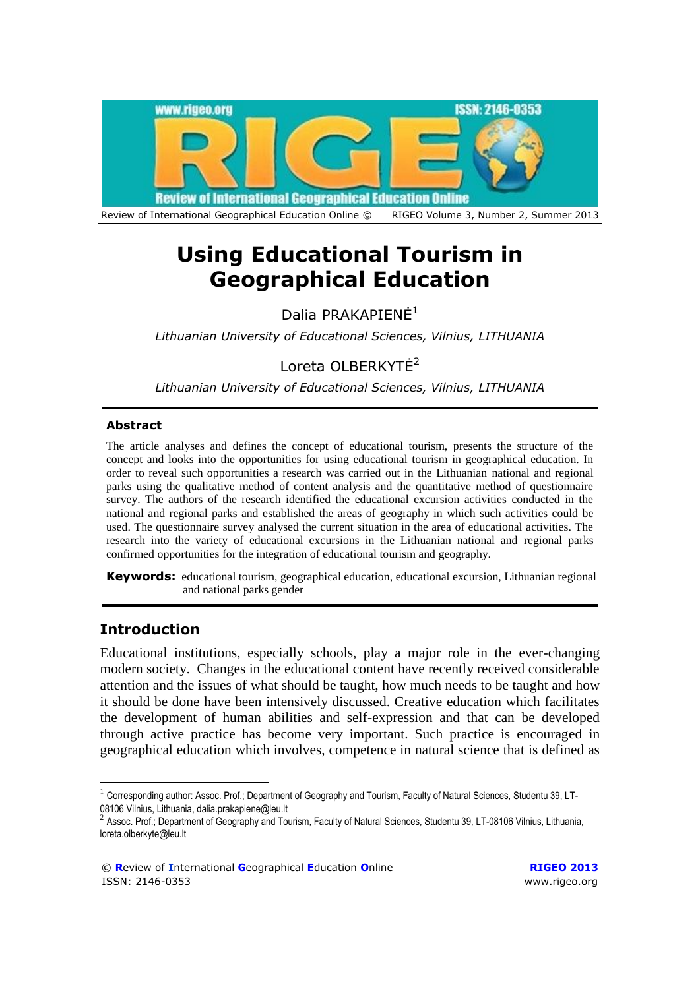

# **Using Educational Tourism in Geographical Education**

Dalia PRAKAPIENĖ<sup>1</sup>

*Lithuanian University of Educational Sciences, Vilnius, LITHUANIA*

Loreta OLBERKYTĖ<sup>2</sup>

*Lithuanian University of Educational Sciences, Vilnius, LITHUANIA*

# **Abstract**

The article analyses and defines the concept of educational tourism, presents the structure of the concept and looks into the opportunities for using educational tourism in geographical education. In order to reveal such opportunities a research was carried out in the Lithuanian national and regional parks using the qualitative method of content analysis and the quantitative method of questionnaire survey. The authors of the research identified the educational excursion activities conducted in the national and regional parks and established the areas of geography in which such activities could be used. The questionnaire survey analysed the current situation in the area of educational activities. The research into the variety of educational excursions in the Lithuanian national and regional parks confirmed opportunities for the integration of educational tourism and geography.

**Keywords:** educational tourism, geographical education, educational excursion, Lithuanian regional and national parks gender

# **Introduction**

<u>.</u>

Educational institutions, especially schools, play a major role in the ever-changing modern society. Changes in the educational content have recently received considerable attention and the issues of what should be taught, how much needs to be taught and how it should be done have been intensively discussed. Creative education which facilitates the development of human abilities and self-expression and that can be developed through active practice has become very important. Such practice is encouraged in geographical education which involves, competence in natural science that is defined as

 $1$  Corresponding author: Assoc. Prof.; Department of Geography and Tourism, Faculty of Natural Sciences, Studentu 39, LT-08106 Vilnius, Lithuania, dalia.prakapiene@leu.lt

 $^2$  Assoc. Prof.; Department of Geography and Tourism, Faculty of Natural Sciences, Studentu 39, LT-08106 Vilnius, Lithuania, loreta.olberkyte@leu.lt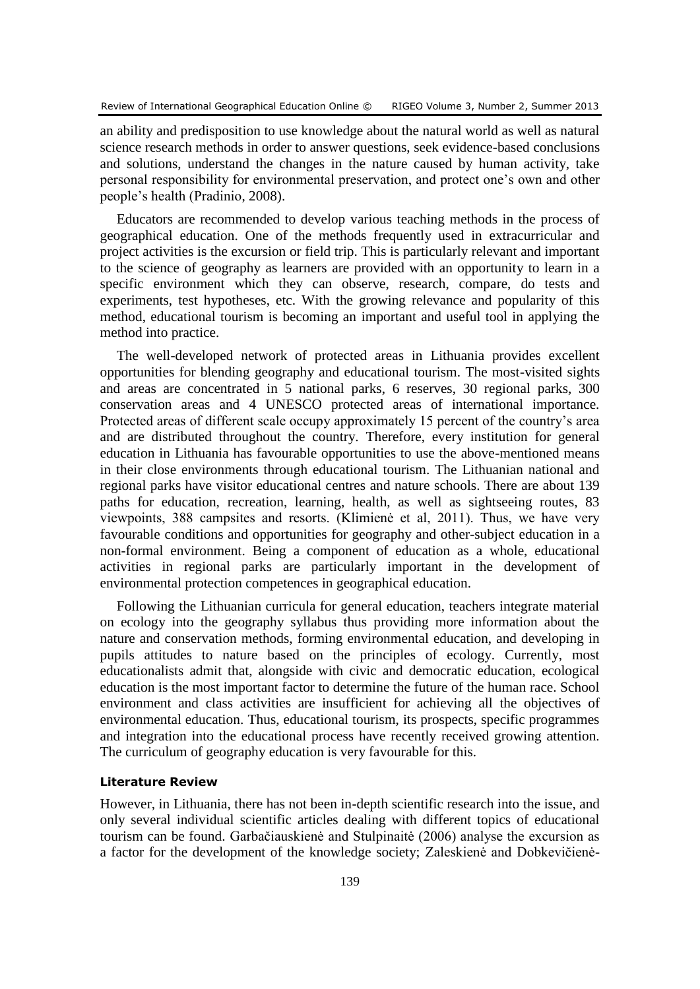an ability and predisposition to use knowledge about the natural world as well as natural science research methods in order to answer questions, seek evidence-based conclusions and solutions, understand the changes in the nature caused by human activity, take personal responsibility for environmental preservation, and protect one's own and other people's health (Pradinio, 2008).

Educators are recommended to develop various teaching methods in the process of geographical education. One of the methods frequently used in extracurricular and project activities is the excursion or field trip. This is particularly relevant and important to the science of geography as learners are provided with an opportunity to learn in a specific environment which they can observe, research, compare, do tests and experiments, test hypotheses, etc. With the growing relevance and popularity of this method, educational tourism is becoming an important and useful tool in applying the method into practice.

The well-developed network of protected areas in Lithuania provides excellent opportunities for blending geography and educational tourism. The most-visited sights and areas are concentrated in 5 national parks, 6 reserves, 30 regional parks, 300 conservation areas and 4 UNESCO protected areas of international importance. Protected areas of different scale occupy approximately 15 percent of the country's area and are distributed throughout the country. Therefore, every institution for general education in Lithuania has favourable opportunities to use the above-mentioned means in their close environments through educational tourism. The Lithuanian national and regional parks have visitor educational centres and nature schools. There are about 139 paths for education, recreation, learning, health, as well as sightseeing routes, 83 viewpoints, 388 campsites and resorts. (Klimienė et al, 2011). Thus, we have very favourable conditions and opportunities for geography and other-subject education in a non-formal environment. Being a component of education as a whole, educational activities in regional parks are particularly important in the development of environmental protection competences in geographical education.

Following the Lithuanian curricula for general education, teachers integrate material on ecology into the geography syllabus thus providing more information about the nature and conservation methods, forming environmental education, and developing in pupils attitudes to nature based on the principles of ecology. Currently, most educationalists admit that, alongside with civic and democratic education, ecological education is the most important factor to determine the future of the human race. School environment and class activities are insufficient for achieving all the objectives of environmental education. Thus, educational tourism, its prospects, specific programmes and integration into the educational process have recently received growing attention. The curriculum of geography education is very favourable for this.

## **Literature Review**

However, in Lithuania, there has not been in-depth scientific research into the issue, and only several individual scientific articles dealing with different topics of educational tourism can be found. Garbačiauskienė and Stulpinaitė (2006) analyse the excursion as a factor for the development of the knowledge society; Zaleskienė and Dobkevičienė-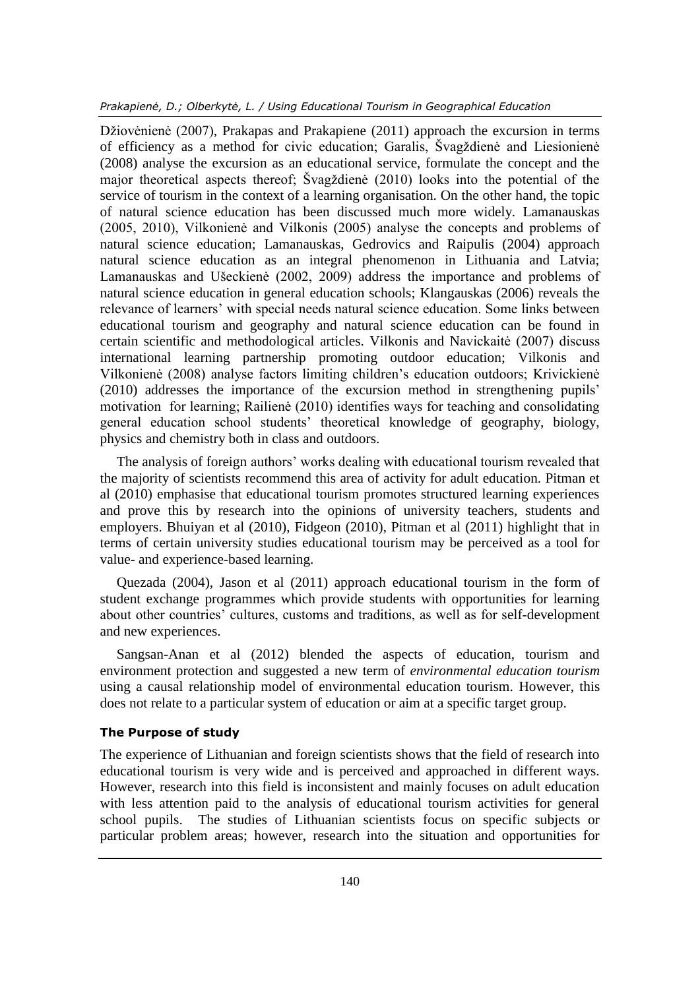Džiovėnienė (2007), Prakapas and Prakapiene (2011) approach the excursion in terms of efficiency as a method for civic education; Garalis, Švagždienė and Liesionienė (2008) analyse the excursion as an educational service, formulate the concept and the major theoretical aspects thereof; Švagždienė (2010) looks into the potential of the service of tourism in the context of a learning organisation. On the other hand, the topic of natural science education has been discussed much more widely. Lamanauskas (2005, 2010), Vilkonienė and Vilkonis (2005) analyse the concepts and problems of natural science education; Lamanauskas, Gedrovics and Raipulis (2004) approach natural science education as an integral phenomenon in Lithuania and Latvia; Lamanauskas and Ušeckienė (2002, 2009) address the importance and problems of natural science education in general education schools; Klangauskas (2006) reveals the relevance of learners' with special needs natural science education. Some links between educational tourism and geography and natural science education can be found in certain scientific and methodological articles. Vilkonis and Navickaitė (2007) discuss international learning partnership promoting outdoor education; Vilkonis and Vilkonienė (2008) analyse factors limiting children's education outdoors; Krivickienė (2010) addresses the importance of the excursion method in strengthening pupils' motivation for learning; Railienė (2010) identifies ways for teaching and consolidating general education school students' theoretical knowledge of geography, biology, physics and chemistry both in class and outdoors.

The analysis of foreign authors' works dealing with educational tourism revealed that the majority of scientists recommend this area of activity for adult education. Pitman et al (2010) emphasise that educational tourism promotes structured learning experiences and prove this by research into the opinions of university teachers, students and employers. Bhuiyan et al (2010), Fidgeon (2010), Pitman et al (2011) highlight that in terms of certain university studies educational tourism may be perceived as a tool for value- and experience-based learning.

Quezada (2004), Jason et al (2011) approach educational tourism in the form of student exchange programmes which provide students with opportunities for learning about other countries' cultures, customs and traditions, as well as for self-development and new experiences.

Sangsan-Anan et al (2012) blended the aspects of education, tourism and environment protection and suggested a new term of *environmental education tourism* using a causal relationship model of environmental education tourism. However, this does not relate to a particular system of education or aim at a specific target group.

#### **The Purpose of study**

The experience of Lithuanian and foreign scientists shows that the field of research into educational tourism is very wide and is perceived and approached in different ways. However, research into this field is inconsistent and mainly focuses on adult education with less attention paid to the analysis of educational tourism activities for general school pupils. The studies of Lithuanian scientists focus on specific subjects or particular problem areas; however, research into the situation and opportunities for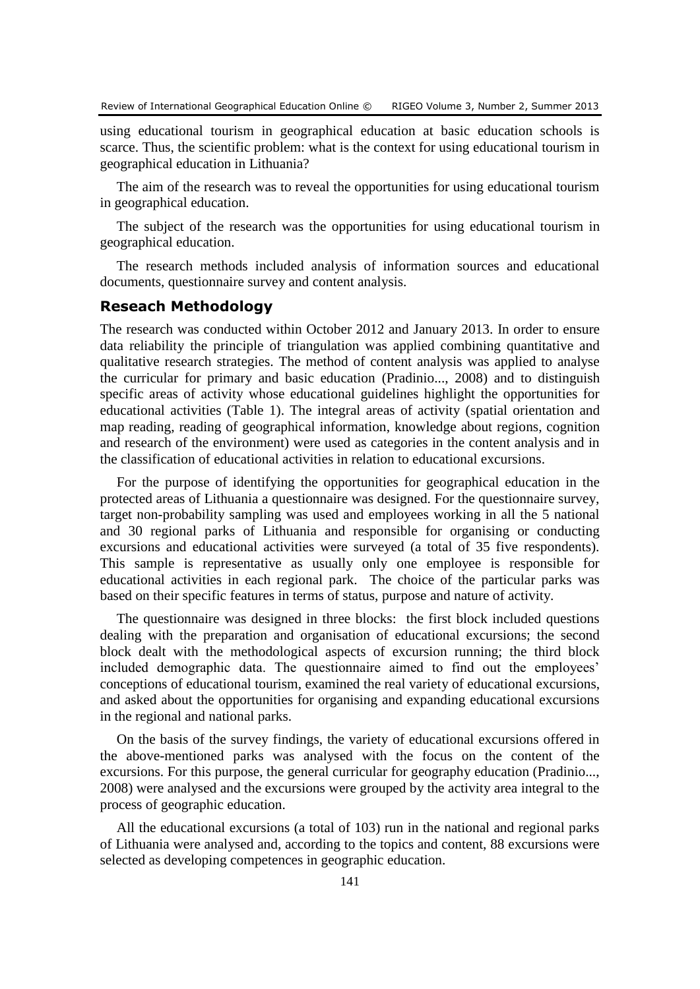using educational tourism in geographical education at basic education schools is scarce. Thus, the scientific problem: what is the context for using educational tourism in geographical education in Lithuania?

The aim of the research was to reveal the opportunities for using educational tourism in geographical education.

The subject of the research was the opportunities for using educational tourism in geographical education.

The research methods included analysis of information sources and educational documents, questionnaire survey and content analysis.

# **Reseach Methodology**

The research was conducted within October 2012 and January 2013. In order to ensure data reliability the principle of triangulation was applied combining quantitative and qualitative research strategies. The method of content analysis was applied to analyse the curricular for primary and basic education (Pradinio..., 2008) and to distinguish specific areas of activity whose educational guidelines highlight the opportunities for educational activities (Table 1). The integral areas of activity (spatial orientation and map reading, reading of geographical information, knowledge about regions, cognition and research of the environment) were used as categories in the content analysis and in the classification of educational activities in relation to educational excursions.

For the purpose of identifying the opportunities for geographical education in the protected areas of Lithuania a questionnaire was designed. For the questionnaire survey, target non-probability sampling was used and employees working in all the 5 national and 30 regional parks of Lithuania and responsible for organising or conducting excursions and educational activities were surveyed (a total of 35 five respondents). This sample is representative as usually only one employee is responsible for educational activities in each regional park. The choice of the particular parks was based on their specific features in terms of status, purpose and nature of activity.

The questionnaire was designed in three blocks: the first block included questions dealing with the preparation and organisation of educational excursions; the second block dealt with the methodological aspects of excursion running; the third block included demographic data. The questionnaire aimed to find out the employees' conceptions of educational tourism, examined the real variety of educational excursions, and asked about the opportunities for organising and expanding educational excursions in the regional and national parks.

On the basis of the survey findings, the variety of educational excursions offered in the above-mentioned parks was analysed with the focus on the content of the excursions. For this purpose, the general curricular for geography education (Pradinio..., 2008) were analysed and the excursions were grouped by the activity area integral to the process of geographic education.

All the educational excursions (a total of 103) run in the national and regional parks of Lithuania were analysed and, according to the topics and content, 88 excursions were selected as developing competences in geographic education.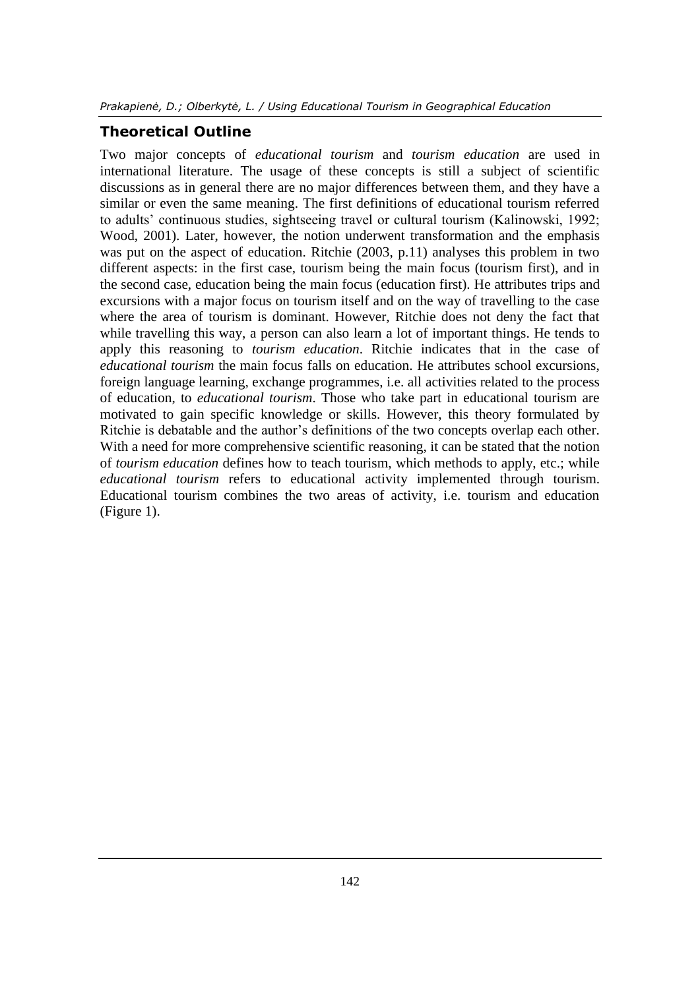# **Theoretical Outline**

Two major concepts of *educational tourism* and *tourism education* are used in international literature. The usage of these concepts is still a subject of scientific discussions as in general there are no major differences between them, and they have a similar or even the same meaning. The first definitions of educational tourism referred to adults' continuous studies, sightseeing travel or cultural tourism (Kalinowski, 1992; Wood, 2001). Later, however, the notion underwent transformation and the emphasis was put on the aspect of education. Ritchie (2003, p.11) analyses this problem in two different aspects: in the first case, tourism being the main focus (tourism first), and in the second case, education being the main focus (education first). He attributes trips and excursions with a major focus on tourism itself and on the way of travelling to the case where the area of tourism is dominant. However, Ritchie does not deny the fact that while travelling this way, a person can also learn a lot of important things. He tends to apply this reasoning to *tourism education*. Ritchie indicates that in the case of *educational tourism* the main focus falls on education. He attributes school excursions, foreign language learning, exchange programmes, i.e. all activities related to the process of education, to *educational tourism*. Those who take part in educational tourism are motivated to gain specific knowledge or skills. However, this theory formulated by Ritchie is debatable and the author's definitions of the two concepts overlap each other. With a need for more comprehensive scientific reasoning, it can be stated that the notion of *tourism education* defines how to teach tourism, which methods to apply, etc.; while *educational tourism* refers to educational activity implemented through tourism. Educational tourism combines the two areas of activity, i.e. tourism and education (Figure 1).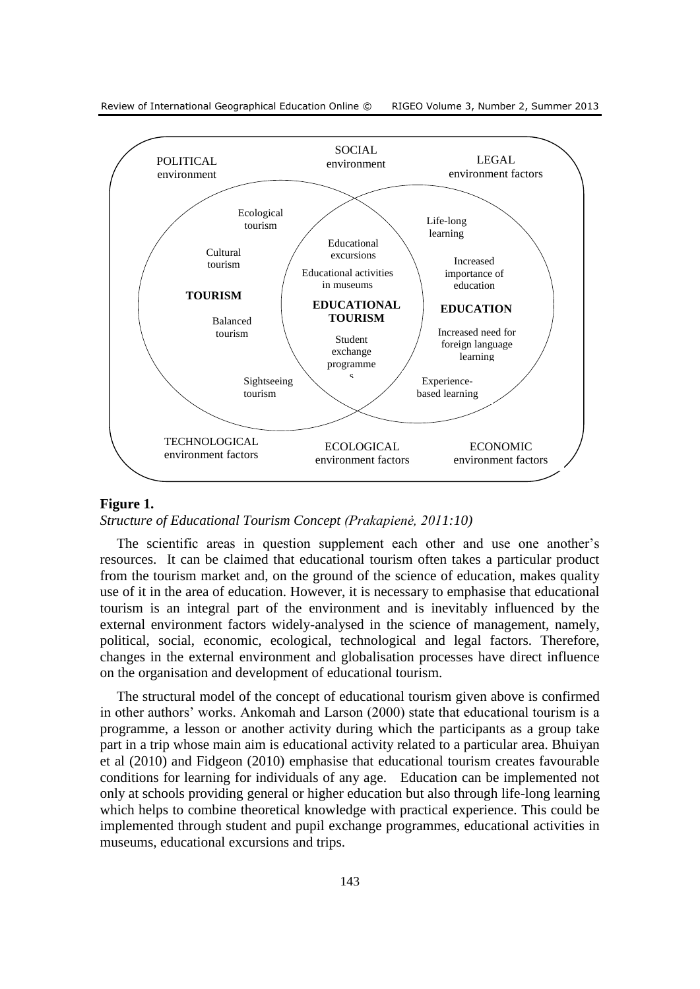



#### **Figure 1.**

#### *Structure of Educational Tourism Concept (Prakapienė, 2011:10)*

The scientific areas in question supplement each other and use one another's resources. It can be claimed that educational tourism often takes a particular product from the tourism market and, on the ground of the science of education, makes quality use of it in the area of education. However, it is necessary to emphasise that educational tourism is an integral part of the environment and is inevitably influenced by the external environment factors widely-analysed in the science of management, namely, political, social, economic, ecological, technological and legal factors. Therefore, changes in the external environment and globalisation processes have direct influence on the organisation and development of educational tourism.

The structural model of the concept of educational tourism given above is confirmed in other authors' works. Ankomah and Larson (2000) state that educational tourism is a programme, a lesson or another activity during which the participants as a group take part in a trip whose main aim is educational activity related to a particular area. Bhuiyan et al (2010) and Fidgeon (2010) emphasise that educational tourism creates favourable conditions for learning for individuals of any age. Education can be implemented not only at schools providing general or higher education but also through life-long learning which helps to combine theoretical knowledge with practical experience. This could be implemented through student and pupil exchange programmes, educational activities in museums, educational excursions and trips.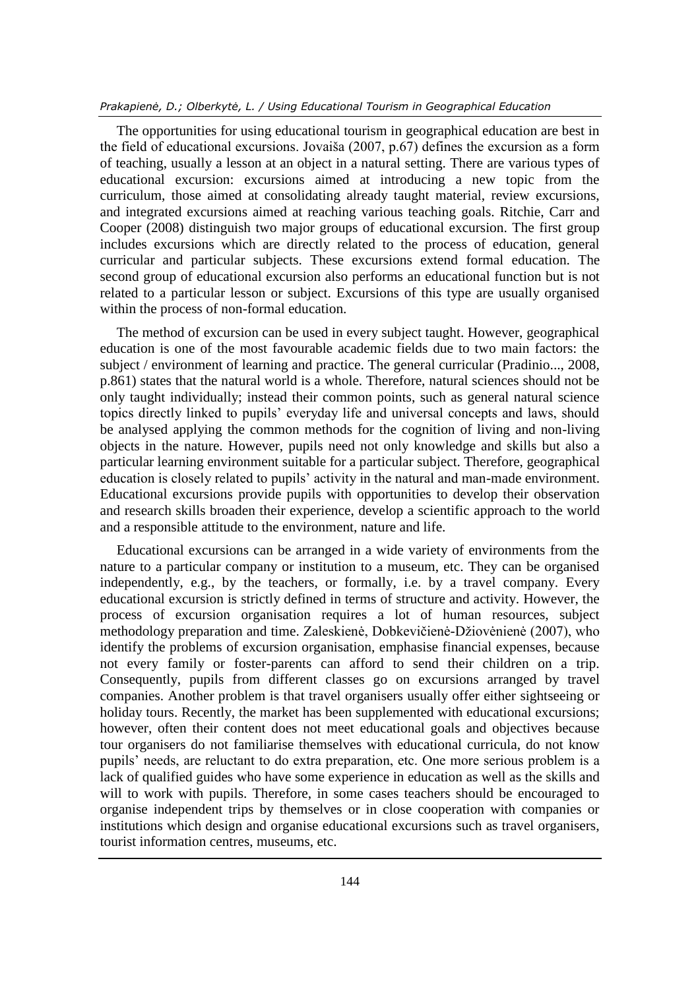The opportunities for using educational tourism in geographical education are best in the field of educational excursions. Jovaiša (2007, p.67) defines the excursion as a form of teaching, usually a lesson at an object in a natural setting. There are various types of educational excursion: excursions aimed at introducing a new topic from the curriculum, those aimed at consolidating already taught material, review excursions, and integrated excursions aimed at reaching various teaching goals. Ritchie, Carr and Cooper (2008) distinguish two major groups of educational excursion. The first group includes excursions which are directly related to the process of education, general curricular and particular subjects. These excursions extend formal education. The second group of educational excursion also performs an educational function but is not related to a particular lesson or subject. Excursions of this type are usually organised within the process of non-formal education.

The method of excursion can be used in every subject taught. However, geographical education is one of the most favourable academic fields due to two main factors: the subject / environment of learning and practice. The general curricular (Pradinio..., 2008, p.861) states that the natural world is a whole. Therefore, natural sciences should not be only taught individually; instead their common points, such as general natural science topics directly linked to pupils' everyday life and universal concepts and laws, should be analysed applying the common methods for the cognition of living and non-living objects in the nature. However, pupils need not only knowledge and skills but also a particular learning environment suitable for a particular subject. Therefore, geographical education is closely related to pupils' activity in the natural and man-made environment. Educational excursions provide pupils with opportunities to develop their observation and research skills broaden their experience, develop a scientific approach to the world and a responsible attitude to the environment, nature and life.

Educational excursions can be arranged in a wide variety of environments from the nature to a particular company or institution to a museum, etc. They can be organised independently, e.g., by the teachers, or formally, i.e. by a travel company. Every educational excursion is strictly defined in terms of structure and activity. However, the process of excursion organisation requires a lot of human resources, subject methodology preparation and time. Zaleskienė, Dobkevičienė-Džiovėnienė (2007), who identify the problems of excursion organisation, emphasise financial expenses, because not every family or foster-parents can afford to send their children on a trip. Consequently, pupils from different classes go on excursions arranged by travel companies. Another problem is that travel organisers usually offer either sightseeing or holiday tours. Recently, the market has been supplemented with educational excursions; however, often their content does not meet educational goals and objectives because tour organisers do not familiarise themselves with educational curricula, do not know pupils' needs, are reluctant to do extra preparation, etc. One more serious problem is a lack of qualified guides who have some experience in education as well as the skills and will to work with pupils. Therefore, in some cases teachers should be encouraged to organise independent trips by themselves or in close cooperation with companies or institutions which design and organise educational excursions such as travel organisers, tourist information centres, museums, etc.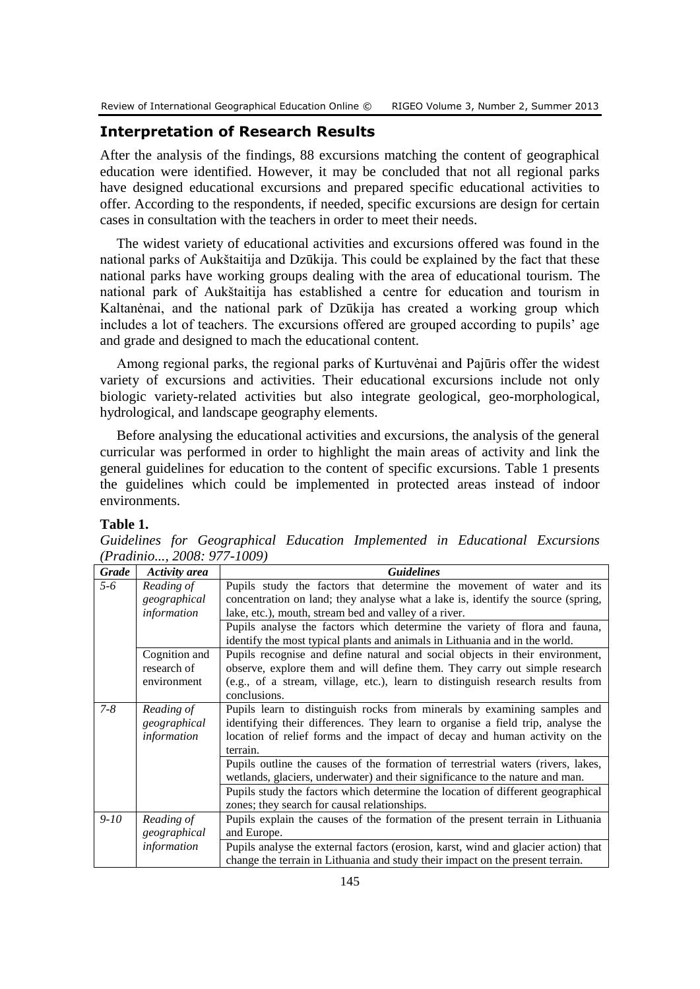# **Interpretation of Research Results**

After the analysis of the findings, 88 excursions matching the content of geographical education were identified. However, it may be concluded that not all regional parks have designed educational excursions and prepared specific educational activities to offer. According to the respondents, if needed, specific excursions are design for certain cases in consultation with the teachers in order to meet their needs.

The widest variety of educational activities and excursions offered was found in the national parks of Aukštaitija and Dzūkija. This could be explained by the fact that these national parks have working groups dealing with the area of educational tourism. The national park of Aukštaitija has established a centre for education and tourism in Kaltanėnai, and the national park of Dzūkija has created a working group which includes a lot of teachers. The excursions offered are grouped according to pupils' age and grade and designed to mach the educational content.

Among regional parks, the regional parks of Kurtuvėnai and Pajūris offer the widest variety of excursions and activities. Their educational excursions include not only biologic variety-related activities but also integrate geological, geo-morphological, hydrological, and landscape geography elements.

Before analysing the educational activities and excursions, the analysis of the general curricular was performed in order to highlight the main areas of activity and link the general guidelines for education to the content of specific excursions. Table 1 presents the guidelines which could be implemented in protected areas instead of indoor environments.

#### **Table 1.**

*Guidelines for Geographical Education Implemented in Educational Excursions (Pradinio..., 2008: 977-1009)*

| <b>Grade</b> | <b>Activity area</b> | <b>Guidelines</b>                                                                                                                                                 |
|--------------|----------------------|-------------------------------------------------------------------------------------------------------------------------------------------------------------------|
| 5-6          | Reading of           | Pupils study the factors that determine the movement of water and its                                                                                             |
|              | geographical         | concentration on land; they analyse what a lake is, identify the source (spring,                                                                                  |
|              | information          | lake, etc.), mouth, stream bed and valley of a river.                                                                                                             |
|              |                      | Pupils analyse the factors which determine the variety of flora and fauna,<br>identify the most typical plants and animals in Lithuania and in the world.         |
|              | Cognition and        | Pupils recognise and define natural and social objects in their environment,                                                                                      |
|              | research of          | observe, explore them and will define them. They carry out simple research                                                                                        |
|              | environment          | (e.g., of a stream, village, etc.), learn to distinguish research results from<br>conclusions.                                                                    |
| $7 - 8$      | Reading of           | Pupils learn to distinguish rocks from minerals by examining samples and                                                                                          |
|              | geographical         | identifying their differences. They learn to organise a field trip, analyse the                                                                                   |
|              | information          | location of relief forms and the impact of decay and human activity on the                                                                                        |
|              |                      | terrain.                                                                                                                                                          |
|              |                      | Pupils outline the causes of the formation of terrestrial waters (rivers, lakes,<br>wetlands, glaciers, underwater) and their significance to the nature and man. |
|              |                      | Pupils study the factors which determine the location of different geographical                                                                                   |
|              |                      | zones; they search for causal relationships.                                                                                                                      |
| $9-10$       | Reading of           | Pupils explain the causes of the formation of the present terrain in Lithuania                                                                                    |
|              | geographical         | and Europe.                                                                                                                                                       |
|              | information          | Pupils analyse the external factors (erosion, karst, wind and glacier action) that                                                                                |
|              |                      | change the terrain in Lithuania and study their impact on the present terrain.                                                                                    |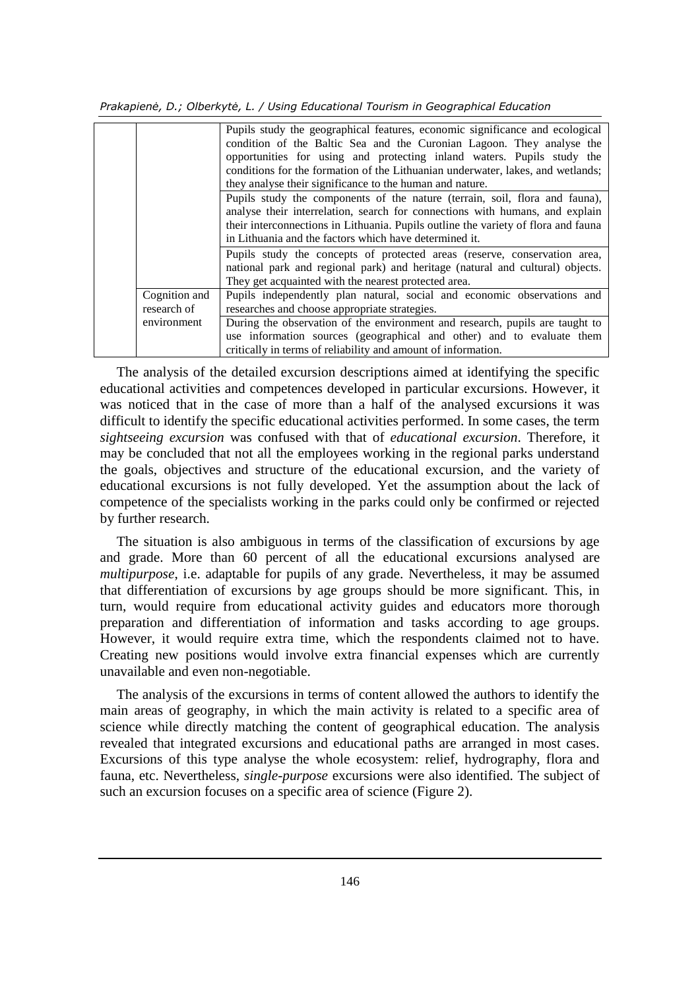*Prakapienė, D.; Olberkytė, L. / Using Educational Tourism in Geographical Education*

|                              | Pupils study the geographical features, economic significance and ecological<br>condition of the Baltic Sea and the Curonian Lagoon. They analyse the<br>opportunities for using and protecting inland waters. Pupils study the<br>conditions for the formation of the Lithuanian underwater, lakes, and wetlands;<br>they analyse their significance to the human and nature. |
|------------------------------|--------------------------------------------------------------------------------------------------------------------------------------------------------------------------------------------------------------------------------------------------------------------------------------------------------------------------------------------------------------------------------|
|                              | Pupils study the components of the nature (terrain, soil, flora and fauna),<br>analyse their interrelation, search for connections with humans, and explain<br>their interconnections in Lithuania. Pupils outline the variety of flora and fauna<br>in Lithuania and the factors which have determined it.                                                                    |
|                              | Pupils study the concepts of protected areas (reserve, conservation area,<br>national park and regional park) and heritage (natural and cultural) objects.<br>They get acquainted with the nearest protected area.                                                                                                                                                             |
| Cognition and<br>research of | Pupils independently plan natural, social and economic observations and<br>researches and choose appropriate strategies.                                                                                                                                                                                                                                                       |
| environment                  | During the observation of the environment and research, pupils are taught to<br>use information sources (geographical and other) and to evaluate them<br>critically in terms of reliability and amount of information.                                                                                                                                                         |

The analysis of the detailed excursion descriptions aimed at identifying the specific educational activities and competences developed in particular excursions. However, it was noticed that in the case of more than a half of the analysed excursions it was difficult to identify the specific educational activities performed. In some cases, the term *sightseeing excursion* was confused with that of *educational excursion*. Therefore, it may be concluded that not all the employees working in the regional parks understand the goals, objectives and structure of the educational excursion, and the variety of educational excursions is not fully developed. Yet the assumption about the lack of competence of the specialists working in the parks could only be confirmed or rejected by further research.

The situation is also ambiguous in terms of the classification of excursions by age and grade. More than 60 percent of all the educational excursions analysed are *multipurpose*, i.e. adaptable for pupils of any grade. Nevertheless, it may be assumed that differentiation of excursions by age groups should be more significant. This, in turn, would require from educational activity guides and educators more thorough preparation and differentiation of information and tasks according to age groups. However, it would require extra time, which the respondents claimed not to have. Creating new positions would involve extra financial expenses which are currently unavailable and even non-negotiable.

The analysis of the excursions in terms of content allowed the authors to identify the main areas of geography, in which the main activity is related to a specific area of science while directly matching the content of geographical education. The analysis revealed that integrated excursions and educational paths are arranged in most cases. Excursions of this type analyse the whole ecosystem: relief, hydrography, flora and fauna, etc. Nevertheless, *single-purpose* excursions were also identified. The subject of such an excursion focuses on a specific area of science (Figure 2).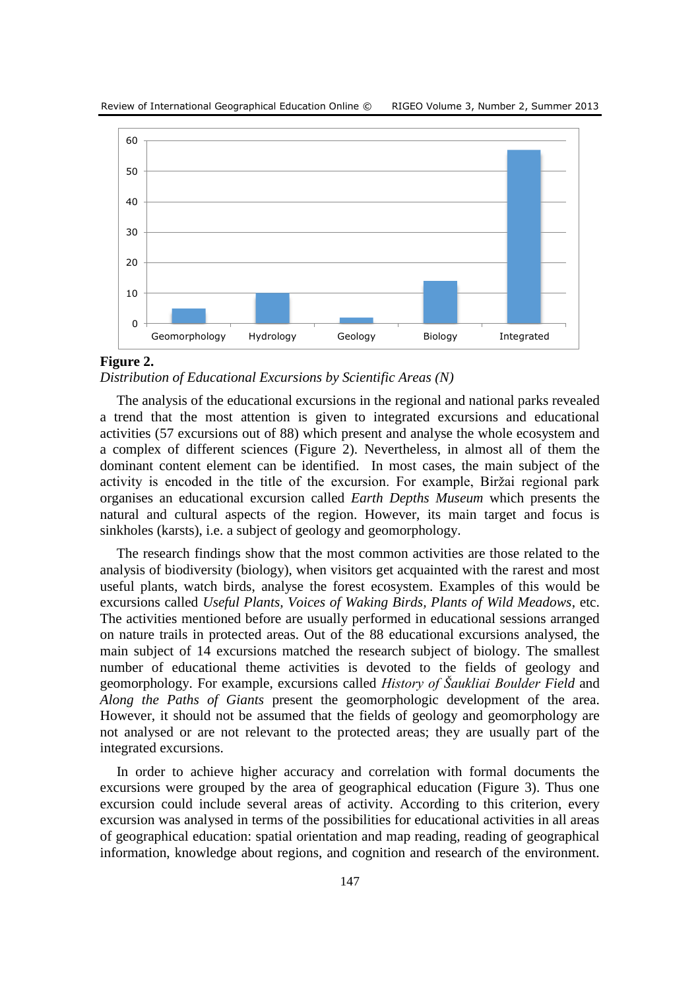Review of International Geographical Education Online © RIGEO Volume 3, Number 2, Summer 2013



#### **Figure 2.**

*Distribution of Educational Excursions by Scientific Areas (N)*

The analysis of the educational excursions in the regional and national parks revealed a trend that the most attention is given to integrated excursions and educational activities (57 excursions out of 88) which present and analyse the whole ecosystem and a complex of different sciences (Figure 2). Nevertheless, in almost all of them the dominant content element can be identified. In most cases, the main subject of the activity is encoded in the title of the excursion. For example, Biržai regional park organises an educational excursion called *Earth Depths Museum* which presents the natural and cultural aspects of the region. However, its main target and focus is sinkholes (karsts), i.e. a subject of geology and geomorphology.

The research findings show that the most common activities are those related to the analysis of biodiversity (biology), when visitors get acquainted with the rarest and most useful plants, watch birds, analyse the forest ecosystem. Examples of this would be excursions called *Useful Plants, Voices of Waking Birds, Plants of Wild Meadows*, etc. The activities mentioned before are usually performed in educational sessions arranged on nature trails in protected areas. Out of the 88 educational excursions analysed, the main subject of 14 excursions matched the research subject of biology. The smallest number of educational theme activities is devoted to the fields of geology and geomorphology. For example, excursions called *History of Šaukliai Boulder Field* and *Along the Paths of Giants* present the geomorphologic development of the area. However, it should not be assumed that the fields of geology and geomorphology are not analysed or are not relevant to the protected areas; they are usually part of the integrated excursions.

In order to achieve higher accuracy and correlation with formal documents the excursions were grouped by the area of geographical education (Figure 3). Thus one excursion could include several areas of activity. According to this criterion, every excursion was analysed in terms of the possibilities for educational activities in all areas of geographical education: spatial orientation and map reading, reading of geographical information, knowledge about regions, and cognition and research of the environment.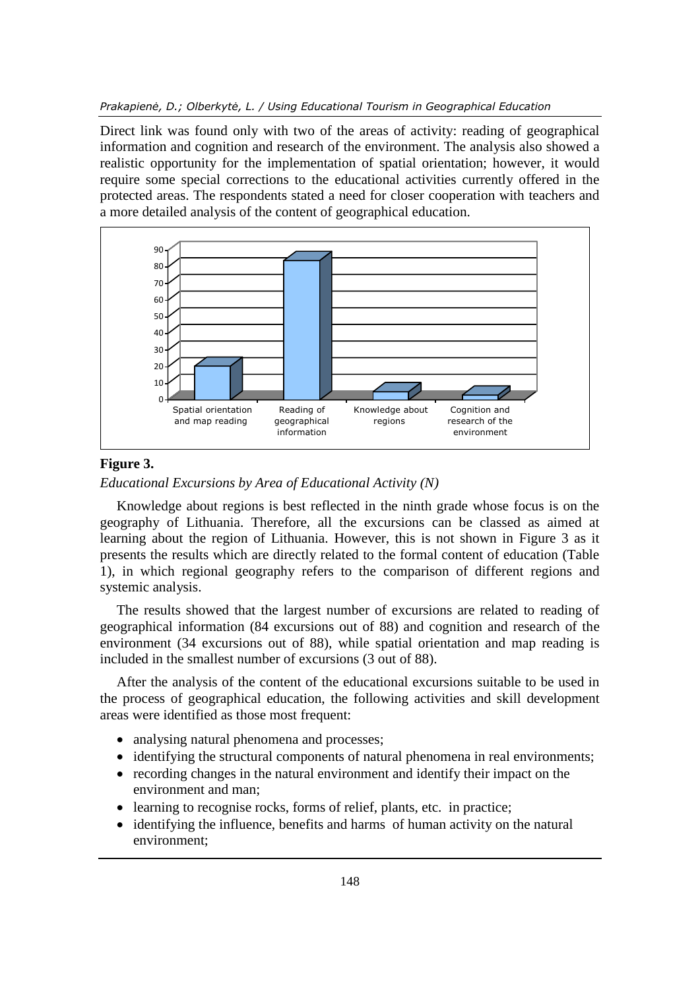Direct link was found only with two of the areas of activity: reading of geographical information and cognition and research of the environment. The analysis also showed a realistic opportunity for the implementation of spatial orientation; however, it would require some special corrections to the educational activities currently offered in the protected areas. The respondents stated a need for closer cooperation with teachers and a more detailed analysis of the content of geographical education.



## **Figure 3.**

*Educational Excursions by Area of Educational Activity (N)*

Knowledge about regions is best reflected in the ninth grade whose focus is on the geography of Lithuania. Therefore, all the excursions can be classed as aimed at learning about the region of Lithuania. However, this is not shown in Figure 3 as it presents the results which are directly related to the formal content of education (Table 1), in which regional geography refers to the comparison of different regions and systemic analysis.

The results showed that the largest number of excursions are related to reading of geographical information (84 excursions out of 88) and cognition and research of the environment (34 excursions out of 88), while spatial orientation and map reading is included in the smallest number of excursions (3 out of 88).

After the analysis of the content of the educational excursions suitable to be used in the process of geographical education, the following activities and skill development areas were identified as those most frequent:

- analysing natural phenomena and processes;
- identifying the structural components of natural phenomena in real environments;
- recording changes in the natural environment and identify their impact on the environment and man;
- learning to recognise rocks, forms of relief, plants, etc. in practice;
- identifying the influence, benefits and harms of human activity on the natural environment;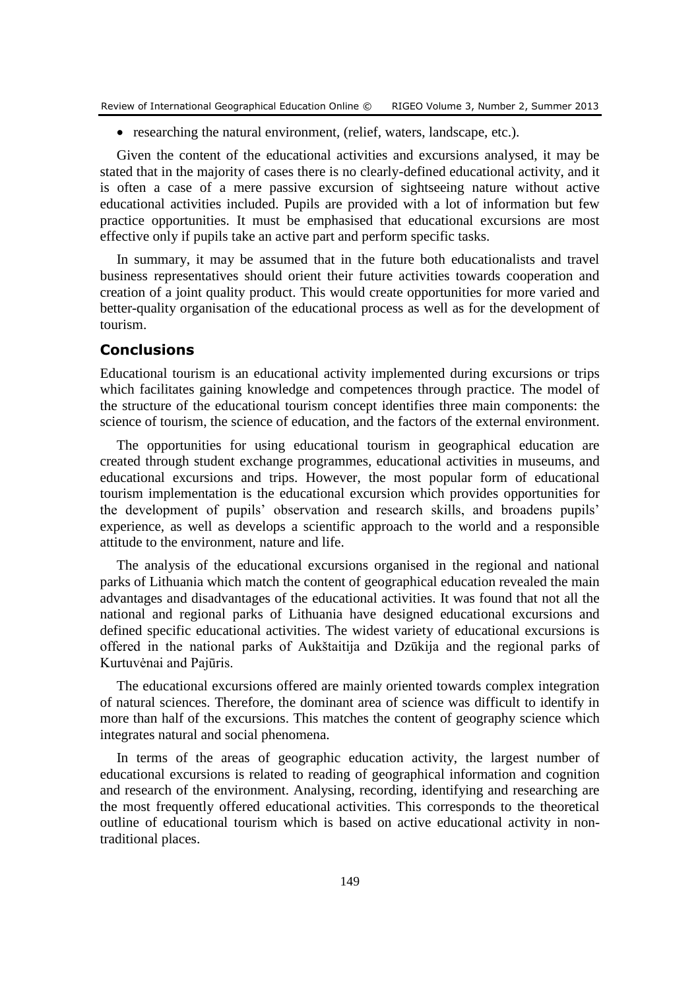• researching the natural environment, (relief, waters, landscape, etc.).

Given the content of the educational activities and excursions analysed, it may be stated that in the majority of cases there is no clearly-defined educational activity, and it is often a case of a mere passive excursion of sightseeing nature without active educational activities included. Pupils are provided with a lot of information but few practice opportunities. It must be emphasised that educational excursions are most effective only if pupils take an active part and perform specific tasks.

In summary, it may be assumed that in the future both educationalists and travel business representatives should orient their future activities towards cooperation and creation of a joint quality product. This would create opportunities for more varied and better-quality organisation of the educational process as well as for the development of tourism.

# **Conclusions**

Educational tourism is an educational activity implemented during excursions or trips which facilitates gaining knowledge and competences through practice. The model of the structure of the educational tourism concept identifies three main components: the science of tourism, the science of education, and the factors of the external environment.

The opportunities for using educational tourism in geographical education are created through student exchange programmes, educational activities in museums, and educational excursions and trips. However, the most popular form of educational tourism implementation is the educational excursion which provides opportunities for the development of pupils' observation and research skills, and broadens pupils' experience, as well as develops a scientific approach to the world and a responsible attitude to the environment, nature and life.

The analysis of the educational excursions organised in the regional and national parks of Lithuania which match the content of geographical education revealed the main advantages and disadvantages of the educational activities. It was found that not all the national and regional parks of Lithuania have designed educational excursions and defined specific educational activities. The widest variety of educational excursions is offered in the national parks of Aukštaitija and Dzūkija and the regional parks of Kurtuvėnai and Pajūris.

The educational excursions offered are mainly oriented towards complex integration of natural sciences. Therefore, the dominant area of science was difficult to identify in more than half of the excursions. This matches the content of geography science which integrates natural and social phenomena.

In terms of the areas of geographic education activity, the largest number of educational excursions is related to reading of geographical information and cognition and research of the environment. Analysing, recording, identifying and researching are the most frequently offered educational activities. This corresponds to the theoretical outline of educational tourism which is based on active educational activity in nontraditional places.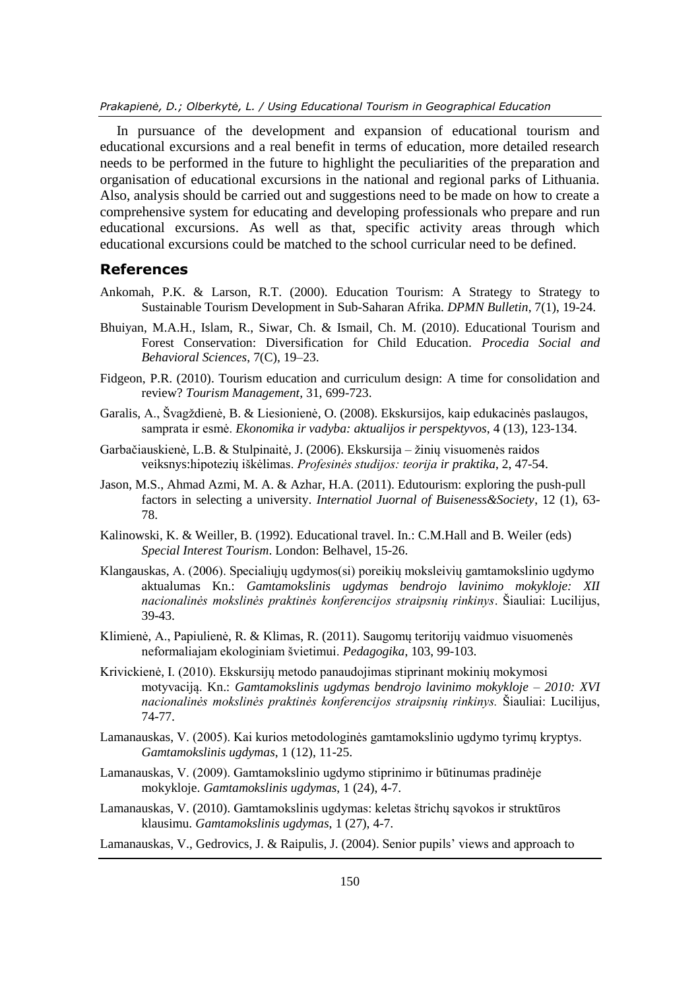In pursuance of the development and expansion of educational tourism and educational excursions and a real benefit in terms of education, more detailed research needs to be performed in the future to highlight the peculiarities of the preparation and organisation of educational excursions in the national and regional parks of Lithuania. Also, analysis should be carried out and suggestions need to be made on how to create a comprehensive system for educating and developing professionals who prepare and run educational excursions. As well as that, specific activity areas through which educational excursions could be matched to the school curricular need to be defined.

#### **References**

- Ankomah, P.K. & Larson, R.T. (2000). Education Tourism: A Strategy to Strategy to Sustainable Tourism Development in Sub-Saharan Afrika. *DPMN Bulletin*, 7(1), 19-24.
- Bhuiyan, M.A.H., Islam, R., Siwar, Ch. & Ismail, Ch. M. (2010). Educational Tourism and Forest Conservation: Diversification for Child Education. *Procedia Social and Behavioral Sciences*, 7(C), 19–23.
- Fidgeon, P.R. (2010). Tourism education and curriculum design: A time for consolidation and review? *Tourism Management*, 31, 699-723.
- Garalis, A., Švagždienė, B. & Liesionienė, O. (2008). Ekskursijos, kaip edukacinės paslaugos, samprata ir esmė. *Ekonomika ir vadyba: aktualijos ir perspektyvos*, 4 (13), 123-134.
- Garbačiauskienė, L.B. & Stulpinaitė, J. (2006). Ekskursija žinių visuomenės raidos veiksnys:hipotezių iškėlimas. *Profesinės studijos: teorija ir praktika*, 2, 47-54.
- Jason, M.S., Ahmad Azmi, M. A. & Azhar, H.A. (2011). Edutourism: exploring the push-pull factors in selecting a university. *Internatiol Juornal of Buiseness&Society*, 12 (1), 63- 78.
- Kalinowski, K. & Weiller, B. (1992). Educational travel. In.: C.M.Hall and B. Weiler (eds) *Special Interest Tourism*. London: Belhavel, 15-26.
- Klangauskas, A. (2006). Specialiųjų ugdymos(si) poreikių moksleivių gamtamokslinio ugdymo aktualumas Kn.: *Gamtamokslinis ugdymas bendrojo lavinimo mokykloje: XII nacionalinės mokslinės praktinės konferencijos straipsnių rinkinys*. Šiauliai: Lucilijus, 39-43.
- Klimienė, A., Papiulienė, R. & Klimas, R. (2011). Saugomų teritorijų vaidmuo visuomenės neformaliajam ekologiniam švietimui. *Pedagogika*, 103, 99-103.
- Krivickienė, I. (2010). Ekskursijų metodo panaudojimas stiprinant mokinių mokymosi motyvaciją. Kn.: *Gamtamokslinis ugdymas bendrojo lavinimo mokykloje* – *2010: XVI nacionalinės mokslinės praktinės konferencijos straipsnių rinkinys.* Šiauliai: Lucilijus, 74-77.
- Lamanauskas, V. (2005). Kai kurios metodologinės gamtamokslinio ugdymo tyrimų kryptys. *Gamtamokslinis ugdymas*, 1 (12), 11-25.
- Lamanauskas, V. (2009). Gamtamokslinio ugdymo stiprinimo ir būtinumas pradinėje mokykloje. *Gamtamokslinis ugdymas*, 1 (24), 4-7.
- Lamanauskas, V. (2010). Gamtamokslinis ugdymas: keletas štrichų sąvokos ir struktūros klausimu. *Gamtamokslinis ugdymas*, 1 (27), 4-7.
- Lamanauskas, V., Gedrovics, J. & Raipulis, J. (2004). Senior pupils' views and approach to